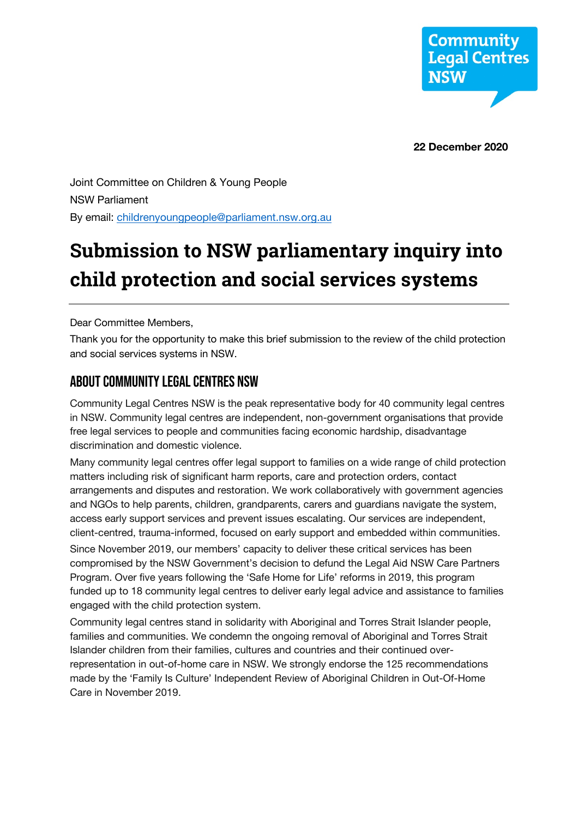

**22 December 2020**

Joint Committee on Children & Young People NSW Parliament By email: childrenyoungpeople@parliament.nsw.org.au

# **Submission to NSW parliamentary inquiry into child protection and social services systems**

Dear Committee Members,

Thank you for the opportunity to make this brief submission to the review of the child protection and social services systems in NSW.

## About Community Legal Centres NSW

Community Legal Centres NSW is the peak representative body for 40 community legal centres in NSW. Community legal centres are independent, non-government organisations that provide free legal services to people and communities facing economic hardship, disadvantage discrimination and domestic violence.

Many community legal centres offer legal support to families on a wide range of child protection matters including risk of significant harm reports, care and protection orders, contact arrangements and disputes and restoration. We work collaboratively with government agencies and NGOs to help parents, children, grandparents, carers and guardians navigate the system, access early support services and prevent issues escalating. Our services are independent, client-centred, trauma-informed, focused on early support and embedded within communities.

Since November 2019, our members' capacity to deliver these critical services has been compromised by the NSW Government's decision to defund the Legal Aid NSW Care Partners Program. Over five years following the 'Safe Home for Life' reforms in 2019, this program funded up to 18 community legal centres to deliver early legal advice and assistance to families engaged with the child protection system.

Community legal centres stand in solidarity with Aboriginal and Torres Strait Islander people, families and communities. We condemn the ongoing removal of Aboriginal and Torres Strait Islander children from their families, cultures and countries and their continued overrepresentation in out-of-home care in NSW. We strongly endorse the 125 recommendations made by the 'Family Is Culture' Independent Review of Aboriginal Children in Out-Of-Home Care in November 2019.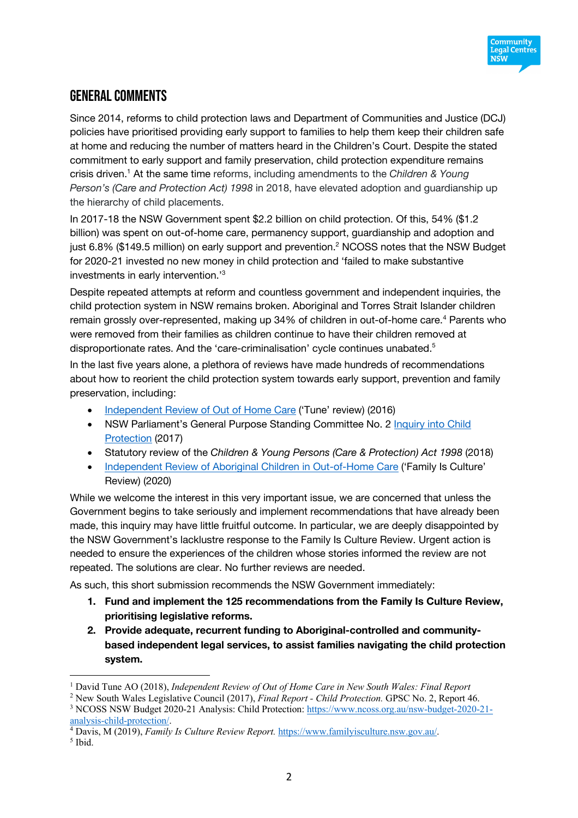# General comments

Since 2014, reforms to child protection laws and Department of Communities and Justice (DCJ) policies have prioritised providing early support to families to help them keep their children safe at home and reducing the number of matters heard in the Children's Court. Despite the stated commitment to early support and family preservation, child protection expenditure remains crisis driven. <sup>1</sup> At the same time reforms, including amendments to the *Children & Young Person's (Care and Protection Act) 1998* in 2018, have elevated adoption and guardianship up the hierarchy of child placements.

In 2017-18 the NSW Government spent \$2.2 billion on child protection. Of this, 54% (\$1.2 billion) was spent on out-of-home care, permanency support, guardianship and adoption and just 6.8% (\$149.5 million) on early support and prevention.<sup>2</sup> NCOSS notes that the NSW Budget for 2020-21 invested no new money in child protection and 'failed to make substantive investments in early intervention.'3

Despite repeated attempts at reform and countless government and independent inquiries, the child protection system in NSW remains broken. Aboriginal and Torres Strait Islander children remain grossly over-represented, making up 34% of children in out-of-home care.<sup>4</sup> Parents who were removed from their families as children continue to have their children removed at disproportionate rates. And the 'care-criminalisation' cycle continues unabated.<sup>5</sup>

In the last five years alone, a plethora of reviews have made hundreds of recommendations about how to reorient the child protection system towards early support, prevention and family preservation, including:

- Independent Review of Out of Home Care ('Tune' review) (2016)
- NSW Parliament's General Purpose Standing Committee No. 2 Inquiry into Child Protection (2017)
- Statutory review of the *Children & Young Persons (Care & Protection) Act 1998* (2018)
- Independent Review of Aboriginal Children in Out-of-Home Care ('Family Is Culture' Review) (2020)

While we welcome the interest in this very important issue, we are concerned that unless the Government begins to take seriously and implement recommendations that have already been made, this inquiry may have little fruitful outcome. In particular, we are deeply disappointed by the NSW Government's lacklustre response to the Family Is Culture Review. Urgent action is needed to ensure the experiences of the children whose stories informed the review are not repeated. The solutions are clear. No further reviews are needed.

As such, this short submission recommends the NSW Government immediately:

- **1. Fund and implement the 125 recommendations from the Family Is Culture Review, prioritising legislative reforms.**
- **2. Provide adequate, recurrent funding to Aboriginal-controlled and communitybased independent legal services, to assist families navigating the child protection system.**

<sup>&</sup>lt;sup>1</sup> David Tune AO (2018), *Independent Review of Out of Home Care in New South Wales: Final Report* <sup>2</sup> New South Wales Legislative Council (2017), *Final Report - Child Protection*. GPSC No. 2, Report 46.

<sup>&</sup>lt;sup>3</sup> NCOSS NSW Budget 2020-21 Analysis: Child Protection: https://www.ncoss.org.au/nsw-budget-2020-21analysis-child-protection/.

<sup>4</sup> Davis, M (2019), *Family Is Culture Review Report.* https://www.familyisculture.nsw.gov.au/. 5 Ibid.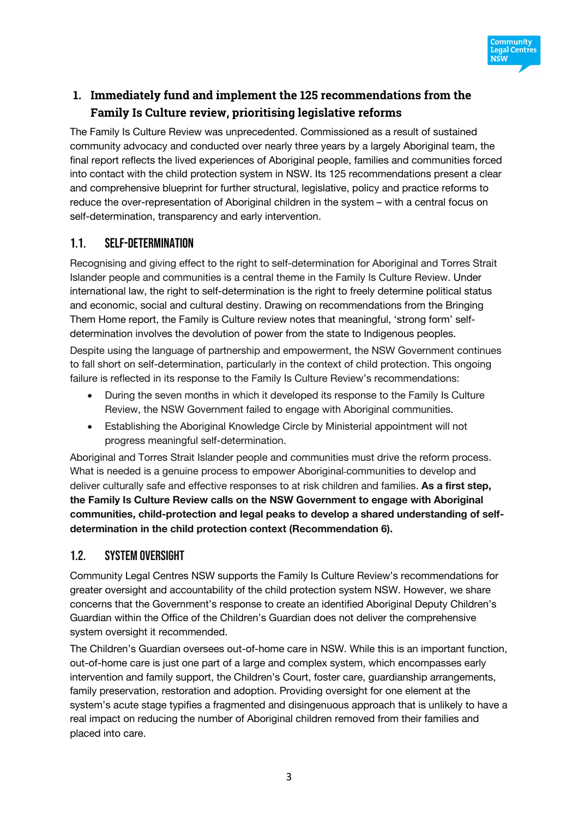

# **1. Immediately fund and implement the 125 recommendations from the Family Is Culture review, prioritising legislative reforms**

The Family Is Culture Review was unprecedented. Commissioned as a result of sustained community advocacy and conducted over nearly three years by a largely Aboriginal team, the final report reflects the lived experiences of Aboriginal people, families and communities forced into contact with the child protection system in NSW. Its 125 recommendations present a clear and comprehensive blueprint for further structural, legislative, policy and practice reforms to reduce the over-representation of Aboriginal children in the system – with a central focus on self-determination, transparency and early intervention.

#### 1.1. Self-determination

Recognising and giving effect to the right to self-determination for Aboriginal and Torres Strait Islander people and communities is a central theme in the Family Is Culture Review. Under international law, the right to self-determination is the right to freely determine political status and economic, social and cultural destiny. Drawing on recommendations from the Bringing Them Home report, the Family is Culture review notes that meaningful, 'strong form' selfdetermination involves the devolution of power from the state to Indigenous peoples.

Despite using the language of partnership and empowerment, the NSW Government continues to fall short on self-determination, particularly in the context of child protection. This ongoing failure is reflected in its response to the Family Is Culture Review's recommendations:

- During the seven months in which it developed its response to the Family Is Culture Review, the NSW Government failed to engage with Aboriginal communities.
- Establishing the Aboriginal Knowledge Circle by Ministerial appointment will not progress meaningful self-determination.

Aboriginal and Torres Strait Islander people and communities must drive the reform process. What is needed is a genuine process to empower Aboriginal communities to develop and deliver culturally safe and effective responses to at risk children and families. **As a first step, the Family Is Culture Review calls on the NSW Government to engage with Aboriginal communities, child-protection and legal peaks to develop a shared understanding of selfdetermination in the child protection context (Recommendation 6).**

#### 1.2. System oversight

Community Legal Centres NSW supports the Family Is Culture Review's recommendations for greater oversight and accountability of the child protection system NSW. However, we share concerns that the Government's response to create an identified Aboriginal Deputy Children's Guardian within the Office of the Children's Guardian does not deliver the comprehensive system oversight it recommended.

The Children's Guardian oversees out-of-home care in NSW. While this is an important function, out-of-home care is just one part of a large and complex system, which encompasses early intervention and family support, the Children's Court, foster care, guardianship arrangements, family preservation, restoration and adoption. Providing oversight for one element at the system's acute stage typifies a fragmented and disingenuous approach that is unlikely to have a real impact on reducing the number of Aboriginal children removed from their families and placed into care.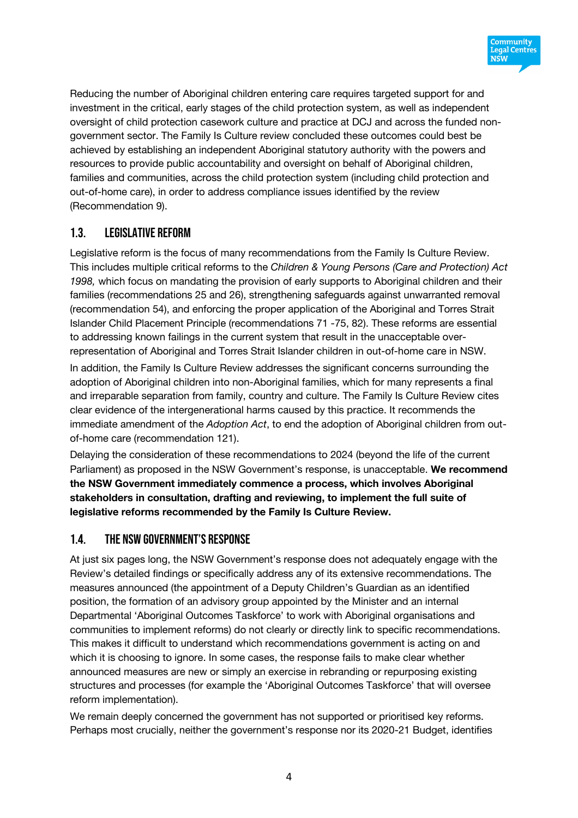

Reducing the number of Aboriginal children entering care requires targeted support for and investment in the critical, early stages of the child protection system, as well as independent oversight of child protection casework culture and practice at DCJ and across the funded nongovernment sector. The Family Is Culture review concluded these outcomes could best be achieved by establishing an independent Aboriginal statutory authority with the powers and resources to provide public accountability and oversight on behalf of Aboriginal children, families and communities, across the child protection system (including child protection and out-of-home care), in order to address compliance issues identified by the review (Recommendation 9).

## 1.3. Legislative reform

Legislative reform is the focus of many recommendations from the Family Is Culture Review. This includes multiple critical reforms to the *Children & Young Persons (Care and Protection) Act 1998,* which focus on mandating the provision of early supports to Aboriginal children and their families (recommendations 25 and 26), strengthening safeguards against unwarranted removal (recommendation 54), and enforcing the proper application of the Aboriginal and Torres Strait Islander Child Placement Principle (recommendations 71 -75, 82). These reforms are essential to addressing known failings in the current system that result in the unacceptable overrepresentation of Aboriginal and Torres Strait Islander children in out-of-home care in NSW.

In addition, the Family Is Culture Review addresses the significant concerns surrounding the adoption of Aboriginal children into non-Aboriginal families, which for many represents a final and irreparable separation from family, country and culture. The Family Is Culture Review cites clear evidence of the intergenerational harms caused by this practice. It recommends the immediate amendment of the *Adoption Act*, to end the adoption of Aboriginal children from outof-home care (recommendation 121).

Delaying the consideration of these recommendations to 2024 (beyond the life of the current Parliament) as proposed in the NSW Government's response, is unacceptable. **We recommend the NSW Government immediately commence a process, which involves Aboriginal stakeholders in consultation, drafting and reviewing, to implement the full suite of legislative reforms recommended by the Family Is Culture Review.**

## 1.4. The NSW Government's response

At just six pages long, the NSW Government's response does not adequately engage with the Review's detailed findings or specifically address any of its extensive recommendations. The measures announced (the appointment of a Deputy Children's Guardian as an identified position, the formation of an advisory group appointed by the Minister and an internal Departmental 'Aboriginal Outcomes Taskforce' to work with Aboriginal organisations and communities to implement reforms) do not clearly or directly link to specific recommendations. This makes it difficult to understand which recommendations government is acting on and which it is choosing to ignore. In some cases, the response fails to make clear whether announced measures are new or simply an exercise in rebranding or repurposing existing structures and processes (for example the 'Aboriginal Outcomes Taskforce' that will oversee reform implementation).

We remain deeply concerned the government has not supported or prioritised key reforms. Perhaps most crucially, neither the government's response nor its 2020-21 Budget, identifies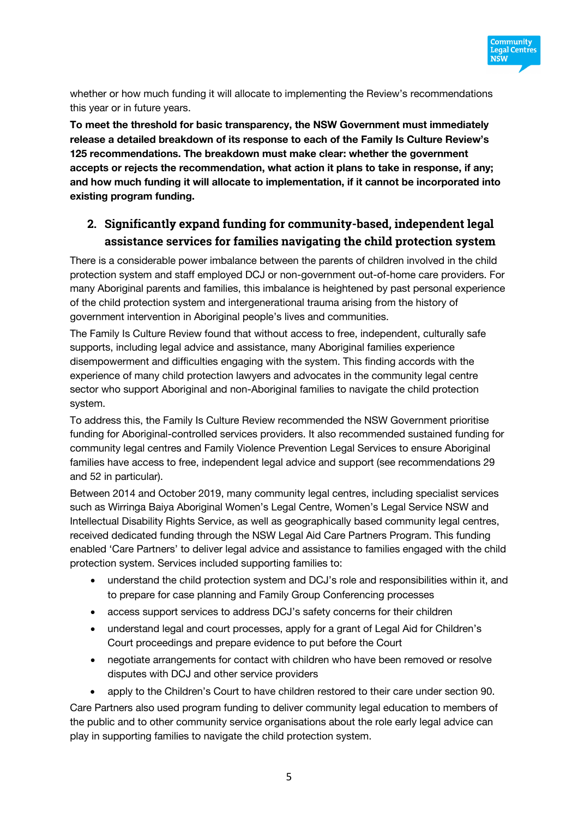

whether or how much funding it will allocate to implementing the Review's recommendations this year or in future years.

**To meet the threshold for basic transparency, the NSW Government must immediately release a detailed breakdown of its response to each of the Family Is Culture Review's 125 recommendations. The breakdown must make clear: whether the government accepts or rejects the recommendation, what action it plans to take in response, if any; and how much funding it will allocate to implementation, if it cannot be incorporated into existing program funding.** 

## **2. Significantly expand funding for community-based, independent legal assistance services for families navigating the child protection system**

There is a considerable power imbalance between the parents of children involved in the child protection system and staff employed DCJ or non-government out-of-home care providers. For many Aboriginal parents and families, this imbalance is heightened by past personal experience of the child protection system and intergenerational trauma arising from the history of government intervention in Aboriginal people's lives and communities.

The Family Is Culture Review found that without access to free, independent, culturally safe supports, including legal advice and assistance, many Aboriginal families experience disempowerment and difficulties engaging with the system. This finding accords with the experience of many child protection lawyers and advocates in the community legal centre sector who support Aboriginal and non-Aboriginal families to navigate the child protection system.

To address this, the Family Is Culture Review recommended the NSW Government prioritise funding for Aboriginal-controlled services providers. It also recommended sustained funding for community legal centres and Family Violence Prevention Legal Services to ensure Aboriginal families have access to free, independent legal advice and support (see recommendations 29 and 52 in particular).

Between 2014 and October 2019, many community legal centres, including specialist services such as Wirringa Baiya Aboriginal Women's Legal Centre, Women's Legal Service NSW and Intellectual Disability Rights Service, as well as geographically based community legal centres, received dedicated funding through the NSW Legal Aid Care Partners Program. This funding enabled 'Care Partners' to deliver legal advice and assistance to families engaged with the child protection system. Services included supporting families to:

- understand the child protection system and DCJ's role and responsibilities within it, and to prepare for case planning and Family Group Conferencing processes
- access support services to address DCJ's safety concerns for their children
- understand legal and court processes, apply for a grant of Legal Aid for Children's Court proceedings and prepare evidence to put before the Court
- negotiate arrangements for contact with children who have been removed or resolve disputes with DCJ and other service providers
- apply to the Children's Court to have children restored to their care under section 90.

Care Partners also used program funding to deliver community legal education to members of the public and to other community service organisations about the role early legal advice can play in supporting families to navigate the child protection system.